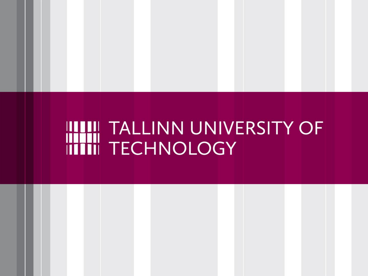# HITH TALLINN UNIVERSITY OF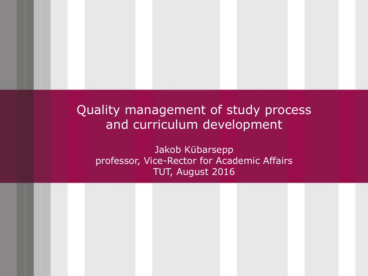#### Quality management of study process and curriculum development

Jakob Kübarsepp professor, Vice-Rector for Academic Affairs TUT, August 2016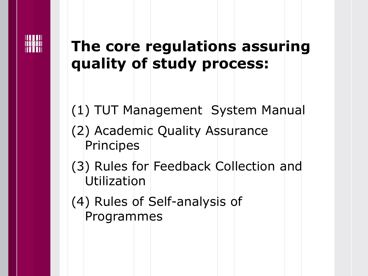

#### **The core regulations assuring quality of study process:**

(1) TUT Management System Manual

- (2) Academic Quality Assurance Principes
- (3) Rules for Feedback Collection and Utilization
- (4) Rules of Self-analysis of Programmes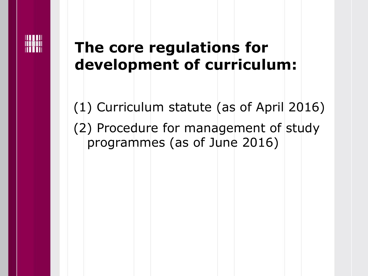

#### **The core regulations for development of curriculum:**

(1) Curriculum statute (as of April 2016) (2) Procedure for management of study programmes (as of June 2016)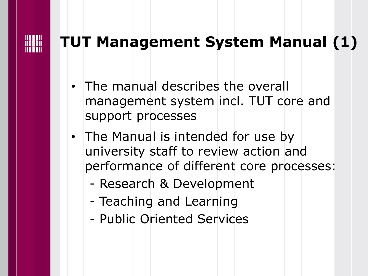#### **TUT Management System Manual (1)**

- The manual describes the overall management system incl. TUT core and support processes
- The Manual is intended for use by university staff to review action and performance of different core processes:
	- Research & Development
	- Teaching and Learning
	- Public Oriented Services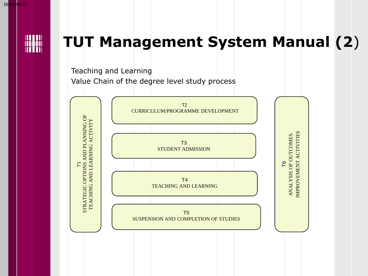

*itemised)*

#### **TUT Management System Manual (2**)

Teaching and Learning Value Chain of the degree level study process

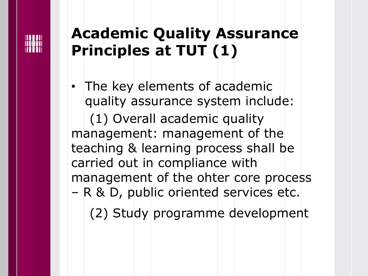#### **Academic Quality Assurance Principles at TUT (1)**

• The key elements of academic quality assurance system include: (1) Overall academic quality management: management of the teaching & learning process shall be carried out in compliance with management of the ohter core process – R & D, public oriented services etc. (2) Study programme development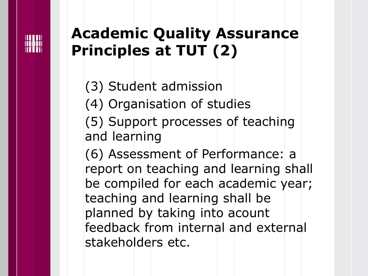#### **Academic Quality Assurance Principles at TUT (2)**

(3) Student admission

(4) Organisation of studies

(5) Support processes of teaching and learning

(6) Assessment of Performance: a report on teaching and learning shall be compiled for each academic year; teaching and learning shall be planned by taking into acount feedback from internal and external stakeholders etc.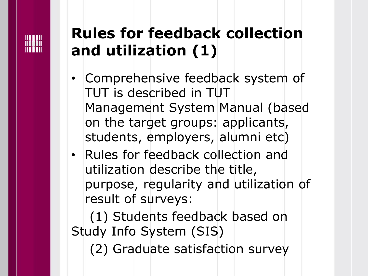### **Rules for feedback collection and utilization (1)**

- Comprehensive feedback system of TUT is described in TUT Management System Manual (based on the target groups: applicants, students, employers, alumni etc)
- Rules for feedback collection and utilization describe the title, purpose, regularity and utilization of result of surveys:

(1) Students feedback based on Study Info System (SIS)

(2) Graduate satisfaction survey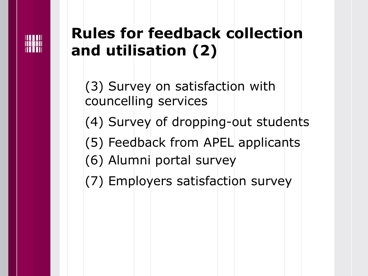### **Rules for feedback collection and utilisation (2)**

(3) Survey on satisfaction with councelling services (4) Survey of dropping-out students (5) Feedback from APEL applicants (6) Alumni portal survey (7) Employers satisfaction survey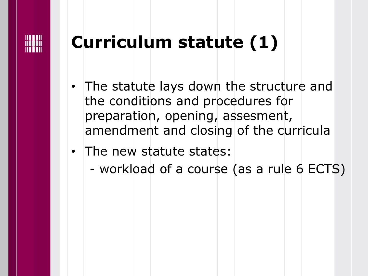

# **Curriculum statute (1)**

- The statute lays down the structure and the conditions and procedures for preparation, opening, assesment, amendment and closing of the curricula
- The new statute states:
	- workload of a course (as a rule 6 ECTS)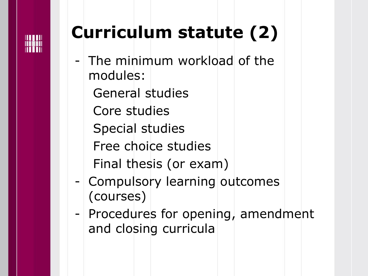

# **Curriculum statute (2)**

- The minimum workload of the modules:
	- General studies
	- Core studies
	- Special studies
	- Free choice studies Final thesis (or exam)
- Compulsory learning outcomes (courses)
- Procedures for opening, amendment and closing curricula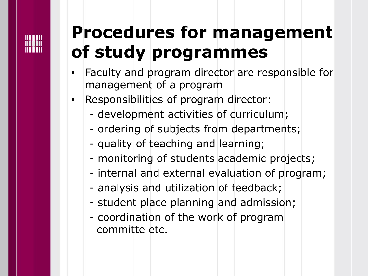## **Procedures for management of study programmes**

- Faculty and program director are responsible for management of a program
- Responsibilities of program director:
	- development activities of curriculum;
	- ordering of subjects from departments;
	- quality of teaching and learning;
	- monitoring of students academic projects;
	- internal and external evaluation of program;
	- analysis and utilization of feedback;
	- student place planning and admission;
	- coordination of the work of program committe etc.